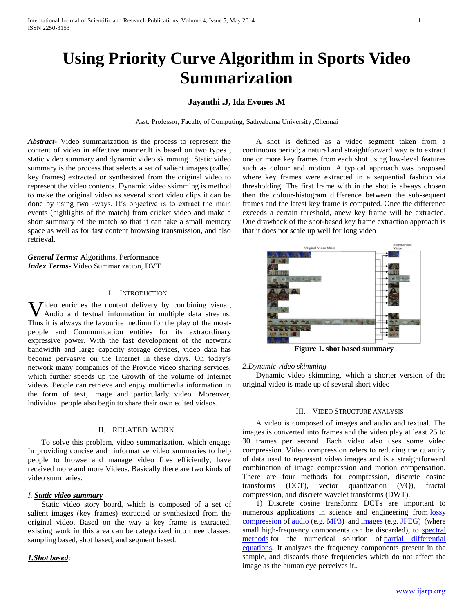# **Using Priority Curve Algorithm in Sports Video Summarization**

# **Jayanthi .J, Ida Evones .M**

Asst. Professor, Faculty of Computing, Sathyabama University ,Chennai

*Abstract***-** Video summarization is the process to represent the content of video in effective manner.It is based on two types , static video summary and dynamic video skimming . Static video summary is the process that selects a set of salient images (called key frames) extracted or synthesized from the original video to represent the video contents. Dynamic video skimming is method to make the original video as several short video clips it can be done by using two -ways. It's objective is to extract the main events (highlights of the match) from cricket video and make a short summary of the match so that it can take a small memory space as well as for fast content browsing transmission, and also retrieval.

*General Terms:* Algorithms, Performance *Index Terms*- Video Summarization, DVT

#### I. INTRODUCTION

**V** ideo enriches the content delivery by combining visual, Audio and textual information in multiple data streams. Audio and textual information in multiple data streams. Thus it is always the favourite medium for the play of the mostpeople and Communication entities for its extraordinary expressive power. With the fast development of the network bandwidth and large capacity storage devices, video data has become pervasive on the Internet in these days. On today's network many companies of the Provide video sharing services, which further speeds up the Growth of the volume of Internet videos. People can retrieve and enjoy multimedia information in the form of text, image and particularly video. Moreover, individual people also begin to share their own edited videos.

#### II. RELATED WORK

 To solve this problem, video summarization, which engage In providing concise and informative video summaries to help people to browse and manage video files efficiently, have received more and more Videos. Basically there are two kinds of video summaries.

#### *I. Static video summary*

 Static video story board, which is composed of a set of salient images (key frames) extracted or synthesized from the original video. Based on the way a key frame is extracted, existing work in this area can be categorized into three classes: sampling based, shot based, and segment based.

*1.Shot based:* 

 A shot is defined as a video segment taken from a continuous period; a natural and straightforward way is to extract one or more key frames from each shot using low-level features such as colour and motion. A typical approach was proposed where key frames were extracted in a sequential fashion via thresholding. The first frame with in the shot is always chosen then the colour-histogram difference between the sub-sequent frames and the latest key frame is computed. Once the difference exceeds a certain threshold, anew key frame will be extracted. One drawback of the shot-based key frame extraction approach is that it does not scale up well for long video



**Figure 1. shot based summary**

## *2.Dynamic video skimming*

 Dynamic video skimming, which a shorter version of the original video is made up of several short video

#### III. VIDEO STRUCTURE ANALYSIS

 A video is composed of images and audio and textual. The images is converted into frames and the video play at least 25 to 30 frames per second. Each video also uses some video compression. Video compression refers to reducing the quantity of data used to represent video images and is a straightforward combination of image compression and motion compensation. There are four methods for compression, discrete cosine transforms (DCT), vector quantization (VQ), fractal compression, and discrete wavelet transforms (DWT).

 1) Discrete cosine transform: DCTs are important to numerous applications in science and engineering from lossy [compression](http://en.wikipedia.org/wiki/Lossy_compression) of [audio](http://en.wikipedia.org/wiki/Audio_compression_(data)) (e.g. [MP3\)](http://en.wikipedia.org/wiki/MP3) and [images](http://en.wikipedia.org/wiki/Image_compression) (e.g. [JPEG\)](http://en.wikipedia.org/wiki/JPEG) (where small high-frequency components can be discarded), to [spectral](http://en.wikipedia.org/wiki/Spectral_method)  [methods](http://en.wikipedia.org/wiki/Spectral_method) for the numerical solution of [partial differential](http://en.wikipedia.org/wiki/Partial_differential_equations)  [equations,](http://en.wikipedia.org/wiki/Partial_differential_equations) It analyzes the frequency components present in the sample, and discards those frequencies which do not affect the image as the human eye perceives it..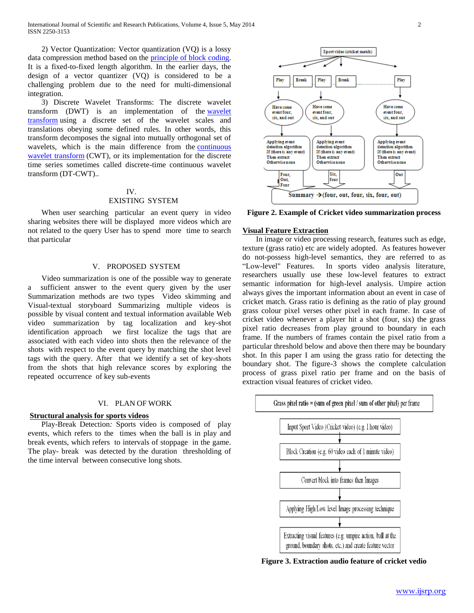International Journal of Scientific and Research Publications, Volume 4, Issue 5, May 2014 2 ISSN 2250-3153

 2) Vector Quantization: Vector quantization (VQ) is a lossy data compression method based on the [principle of block coding.](http://www.data-compression.com/theory.shtml#theory)  It is a fixed-to-fixed length algorithm. In the earlier days, the design of a vector quantizer (VQ) is considered to be a challenging problem due to the need for multi-dimensional integration.

 3) Discrete Wavelet Transforms: The discrete wavelet transform (DWT) is an implementation of the [wavelet](http://klapetek.cz/wavelets.html)  [transform](http://klapetek.cz/wavelets.html) using a discrete set of the wavelet scales and translations obeying some defined rules. In other words, this transform decomposes the signal into mutually orthogonal set of wavelets, which is the main difference from the [continuous](http://klapetek.cz/wcwt.html)  [wavelet transform](http://klapetek.cz/wcwt.html) (CWT), or its implementation for the discrete time series sometimes called discrete-time continuous wavelet transform (DT-CWT)..

# IV.

### EXISTING SYSTEM

When user searching particular an event query in video sharing websites there will be displayed more videos which are not related to the query User has to spend more time to search that particular

#### V. PROPOSED SYSTEM

 Video summarization is one of the possible way to generate a sufficient answer to the event query given by the user Summarization methods are two types Video skimming and Visual-textual storyboard Summarizing multiple videos is possible by visual content and textual information available Web video summarization by tag localization and key-shot identification approach we first localize the tags that are associated with each video into shots then the relevance of the shots with respect to the event query by matching the shot level tags with the query. After that we identify a set of key-shots from the shots that high relevance scores by exploring the repeated occurrence of key sub-events

#### VI. PLAN OF WORK

#### **Structural analysis for sports videos**

 Play-Break Detection*:* Sports video is composed of play events, which refers to the times when the ball is in play and break events, which refers to intervals of stoppage in the game. The play- break was detected by the duration thresholding of the time interval between consecutive long shots.



Sport video (cricket match)

**Break** 

**Figure 2. Example of Cricket video summarization process**

#### **Visual Feature Extraction**

Play

**Have some** 

event four,

six, and out

**Break** 

Play

.<br>Have some

event four,

six, and out

 In image or video processing research, features such as edge, texture (grass ratio) etc are widely adopted. As features however do not-possess high-level semantics, they are referred to as "Low-level" Features. In sports video analysis literature, researchers usually use these low-level features to extract semantic information for high-level analysis. Umpire action always gives the important information about an event in case of cricket match. Grass ratio is defining as the ratio of play ground grass colour pixel verses other pixel in each frame. In case of cricket video whenever a player hit a shot (four, six) the grass pixel ratio decreases from play ground to boundary in each frame. If the numbers of frames contain the pixel ratio from a particular threshold below and above then there may be boundary shot. In this paper I am using the grass ratio for detecting the boundary shot. The figure-3 shows the complete calculation process of grass pixel ratio per frame and on the basis of extraction visual features of cricket video.



**Figure 3. Extraction audio feature of cricket vedio**

Play

**Have some** 

event four,

six, and out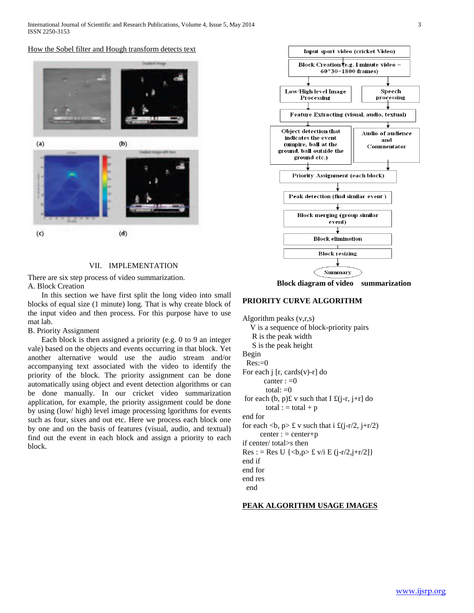$(a)$  $(b)$  $(d)$  $(c)$ 

How the Sobel filter and Hough transform detects text

#### VII. IMPLEMENTATION

There are six step process of video summarization. A. Block Creation

 In this section we have first split the long video into small blocks of equal size (1 minute) long. That is why create block of the input video and then process. For this purpose have to use mat lab.

# B. Priority Assignment

 Each block is then assigned a priority (e.g. 0 to 9 an integer vale) based on the objects and events occurring in that block. Yet another alternative would use the audio stream and/or accompanying text associated with the video to identify the priority of the block. The priority assignment can be done automatically using object and event detection algorithms or can be done manually. In our cricket video summarization application, for example, the priority assignment could be done by using (low/ high) level image processing lgorithms for events such as four, sixes and out etc. Here we process each block one by one and on the basis of features (visual, audio, and textual) find out the event in each block and assign a priority to each block.



**Block diagram of video summarization**

#### **PRIORITY CURVE ALGORITHM**

Algorithm peaks (v,r,s) V is a sequence of block-priority pairs R is the peak width S is the peak height Begin  $Res:=0$ For each  $\mathbf{j}$  [r, cards(v)-r] do canter  $:=0$ total:  $=0$ for each  $(b, p)$ £ v such that I £ $(j-r, j+r]$  do total :  $=$  total +  $p$ end for for each  $\langle b, p \rangle \notin V$  such that i  $\pounds(j-r/2, j+r/2)$  $center := center+p$ if center/ total>s then  $Res := Res U \{ **p** > £ v/i E (i - r/2, i + r/2] \}$ end if end for end res end

#### **PEAK ALGORITHM USAGE IMAGES**